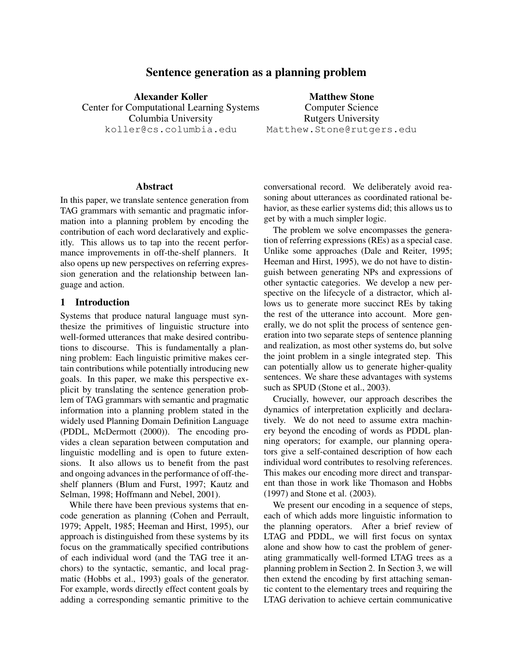# Sentence generation as a planning problem

Alexander Koller Center for Computational Learning Systems Columbia University koller@cs.columbia.edu

Matthew Stone Computer Science Rutgers University Matthew.Stone@rutgers.edu

#### Abstract

In this paper, we translate sentence generation from TAG grammars with semantic and pragmatic information into a planning problem by encoding the contribution of each word declaratively and explicitly. This allows us to tap into the recent performance improvements in off-the-shelf planners. It also opens up new perspectives on referring expression generation and the relationship between language and action.

### 1 Introduction

Systems that produce natural language must synthesize the primitives of linguistic structure into well-formed utterances that make desired contributions to discourse. This is fundamentally a planning problem: Each linguistic primitive makes certain contributions while potentially introducing new goals. In this paper, we make this perspective explicit by translating the sentence generation problem of TAG grammars with semantic and pragmatic information into a planning problem stated in the widely used Planning Domain Definition Language (PDDL, McDermott (2000)). The encoding provides a clean separation between computation and linguistic modelling and is open to future extensions. It also allows us to benefit from the past and ongoing advances in the performance of off-theshelf planners (Blum and Furst, 1997; Kautz and Selman, 1998; Hoffmann and Nebel, 2001).

While there have been previous systems that encode generation as planning (Cohen and Perrault, 1979; Appelt, 1985; Heeman and Hirst, 1995), our approach is distinguished from these systems by its focus on the grammatically specified contributions of each individual word (and the TAG tree it anchors) to the syntactic, semantic, and local pragmatic (Hobbs et al., 1993) goals of the generator. For example, words directly effect content goals by adding a corresponding semantic primitive to the conversational record. We deliberately avoid reasoning about utterances as coordinated rational behavior, as these earlier systems did; this allows us to get by with a much simpler logic.

The problem we solve encompasses the generation of referring expressions (REs) as a special case. Unlike some approaches (Dale and Reiter, 1995; Heeman and Hirst, 1995), we do not have to distinguish between generating NPs and expressions of other syntactic categories. We develop a new perspective on the lifecycle of a distractor, which allows us to generate more succinct REs by taking the rest of the utterance into account. More generally, we do not split the process of sentence generation into two separate steps of sentence planning and realization, as most other systems do, but solve the joint problem in a single integrated step. This can potentially allow us to generate higher-quality sentences. We share these advantages with systems such as SPUD (Stone et al., 2003).

Crucially, however, our approach describes the dynamics of interpretation explicitly and declaratively. We do not need to assume extra machinery beyond the encoding of words as PDDL planning operators; for example, our planning operators give a self-contained description of how each individual word contributes to resolving references. This makes our encoding more direct and transparent than those in work like Thomason and Hobbs (1997) and Stone et al. (2003).

We present our encoding in a sequence of steps, each of which adds more linguistic information to the planning operators. After a brief review of LTAG and PDDL, we will first focus on syntax alone and show how to cast the problem of generating grammatically well-formed LTAG trees as a planning problem in Section 2. In Section 3, we will then extend the encoding by first attaching semantic content to the elementary trees and requiring the LTAG derivation to achieve certain communicative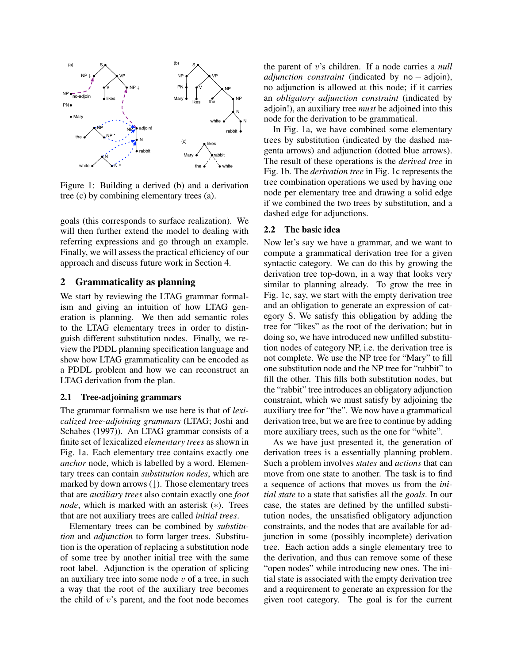

Figure 1: Building a derived (b) and a derivation tree (c) by combining elementary trees (a).

goals (this corresponds to surface realization). We will then further extend the model to dealing with referring expressions and go through an example. Finally, we will assess the practical efficiency of our approach and discuss future work in Section 4.

## 2 Grammaticality as planning

We start by reviewing the LTAG grammar formalism and giving an intuition of how LTAG generation is planning. We then add semantic roles to the LTAG elementary trees in order to distinguish different substitution nodes. Finally, we review the PDDL planning specification language and show how LTAG grammaticality can be encoded as a PDDL problem and how we can reconstruct an LTAG derivation from the plan.

#### 2.1 Tree-adjoining grammars

The grammar formalism we use here is that of *lexicalized tree-adjoining grammars* (LTAG; Joshi and Schabes (1997)). An LTAG grammar consists of a finite set of lexicalized *elementary trees* as shown in Fig. 1a. Each elementary tree contains exactly one *anchor* node, which is labelled by a word. Elementary trees can contain *substitution nodes*, which are marked by down arrows  $( \downarrow )$ . Those elementary trees that are *auxiliary trees* also contain exactly one *foot node*, which is marked with an asterisk (\*). Trees that are not auxiliary trees are called *initial trees*.

Elementary trees can be combined by *substitution* and *adjunction* to form larger trees. Substitution is the operation of replacing a substitution node of some tree by another initial tree with the same root label. Adjunction is the operation of splicing an auxiliary tree into some node  $v$  of a tree, in such a way that the root of the auxiliary tree becomes the child of  $v$ 's parent, and the foot node becomes the parent of v's children. If a node carries a *null adjunction constraint* (indicated by no − adjoin), no adjunction is allowed at this node; if it carries an *obligatory adjunction constraint* (indicated by adjoin!), an auxiliary tree *must* be adjoined into this node for the derivation to be grammatical.

In Fig. 1a, we have combined some elementary trees by substitution (indicated by the dashed magenta arrows) and adjunction (dotted blue arrows). The result of these operations is the *derived tree* in Fig. 1b. The *derivation tree* in Fig. 1c represents the tree combination operations we used by having one node per elementary tree and drawing a solid edge if we combined the two trees by substitution, and a dashed edge for adjunctions.

#### 2.2 The basic idea

Now let's say we have a grammar, and we want to compute a grammatical derivation tree for a given syntactic category. We can do this by growing the derivation tree top-down, in a way that looks very similar to planning already. To grow the tree in Fig. 1c, say, we start with the empty derivation tree and an obligation to generate an expression of category S. We satisfy this obligation by adding the tree for "likes" as the root of the derivation; but in doing so, we have introduced new unfilled substitution nodes of category NP, i.e. the derivation tree is not complete. We use the NP tree for "Mary" to fill one substitution node and the NP tree for "rabbit" to fill the other. This fills both substitution nodes, but the "rabbit" tree introduces an obligatory adjunction constraint, which we must satisfy by adjoining the auxiliary tree for "the". We now have a grammatical derivation tree, but we are free to continue by adding more auxiliary trees, such as the one for "white".

As we have just presented it, the generation of derivation trees is a essentially planning problem. Such a problem involves *states* and *actions* that can move from one state to another. The task is to find a sequence of actions that moves us from the *initial state* to a state that satisfies all the *goals*. In our case, the states are defined by the unfilled substitution nodes, the unsatisfied obligatory adjunction constraints, and the nodes that are available for adjunction in some (possibly incomplete) derivation tree. Each action adds a single elementary tree to the derivation, and thus can remove some of these "open nodes" while introducing new ones. The initial state is associated with the empty derivation tree and a requirement to generate an expression for the given root category. The goal is for the current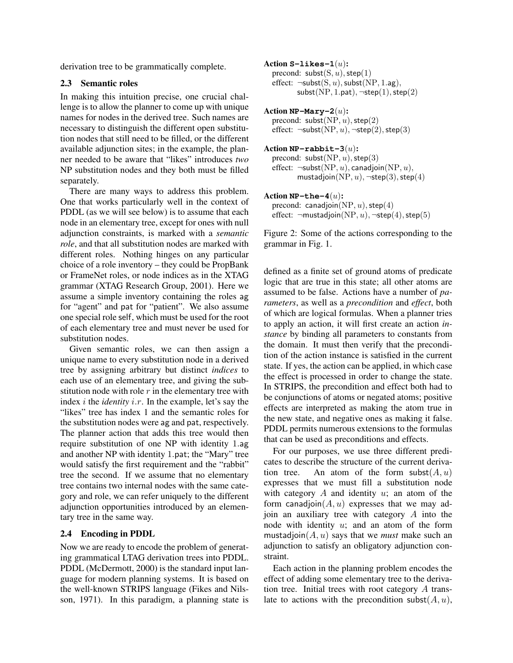derivation tree to be grammatically complete.

## 2.3 Semantic roles

In making this intuition precise, one crucial challenge is to allow the planner to come up with unique names for nodes in the derived tree. Such names are necessary to distinguish the different open substitution nodes that still need to be filled, or the different available adjunction sites; in the example, the planner needed to be aware that "likes" introduces *two* NP substitution nodes and they both must be filled separately.

There are many ways to address this problem. One that works particularly well in the context of PDDL (as we will see below) is to assume that each node in an elementary tree, except for ones with null adjunction constraints, is marked with a *semantic role*, and that all substitution nodes are marked with different roles. Nothing hinges on any particular choice of a role inventory – they could be PropBank or FrameNet roles, or node indices as in the XTAG grammar (XTAG Research Group, 2001). Here we assume a simple inventory containing the roles ag for "agent" and pat for "patient". We also assume one special role self, which must be used for the root of each elementary tree and must never be used for substitution nodes.

Given semantic roles, we can then assign a unique name to every substitution node in a derived tree by assigning arbitrary but distinct *indices* to each use of an elementary tree, and giving the substitution node with role  $r$  in the elementary tree with index i the *identity* i.r. In the example, let's say the "likes" tree has index 1 and the semantic roles for the substitution nodes were ag and pat, respectively. The planner action that adds this tree would then require substitution of one NP with identity 1.ag and another NP with identity 1.pat; the "Mary" tree would satisfy the first requirement and the "rabbit" tree the second. If we assume that no elementary tree contains two internal nodes with the same category and role, we can refer uniquely to the different adjunction opportunities introduced by an elementary tree in the same way.

## 2.4 Encoding in PDDL

Now we are ready to encode the problem of generating grammatical LTAG derivation trees into PDDL. PDDL (McDermott, 2000) is the standard input language for modern planning systems. It is based on the well-known STRIPS language (Fikes and Nilsson, 1971). In this paradigm, a planning state is

- Action **S-likes-1**(u): precond:  $\text{subst}(S, u)$ ,  $\text{step}(1)$ effect:  $\neg$ subst $(S, u)$ , subst $(NP, 1 \text{.ag})$ , subst(NP, 1.pat),  $\neg$ step(1), step(2)
- Action **NP-Mary-2**(u): precond:  $\text{subst}(NP, u)$ ,  $\text{step}(2)$ effect:  $\neg$ subst(NP, *u*),  $\neg$ step(2), step(3)
- Action **NP-rabbit-3**(u): precond:  $\text{subst}(NP, u)$ ,  $\text{step}(3)$ effect:  $\neg$ subst(NP, u), canadjoin(NP, u), mustadjoin(NP,  $u$ ),  $\neg$ step(3), step(4)
- Action **NP-the-4**(u): precond: canadjoin( $NP, u$ ), step(4) effect:  $\neg$ mustadjoin(NP, u),  $\neg$ step(4), step(5)

Figure 2: Some of the actions corresponding to the grammar in Fig. 1.

defined as a finite set of ground atoms of predicate logic that are true in this state; all other atoms are assumed to be false. Actions have a number of *parameters*, as well as a *precondition* and *effect*, both of which are logical formulas. When a planner tries to apply an action, it will first create an action *instance* by binding all parameters to constants from the domain. It must then verify that the precondition of the action instance is satisfied in the current state. If yes, the action can be applied, in which case the effect is processed in order to change the state. In STRIPS, the precondition and effect both had to be conjunctions of atoms or negated atoms; positive effects are interpreted as making the atom true in the new state, and negative ones as making it false. PDDL permits numerous extensions to the formulas that can be used as preconditions and effects.

For our purposes, we use three different predicates to describe the structure of the current derivation tree. An atom of the form subst $(A, u)$ expresses that we must fill a substitution node with category  $A$  and identity  $u$ ; an atom of the form canadjoin $(A, u)$  expresses that we may adjoin an auxiliary tree with category A into the node with identity  $u$ ; and an atom of the form mustadjoin $(A, u)$  says that we *must* make such an adjunction to satisfy an obligatory adjunction constraint.

Each action in the planning problem encodes the effect of adding some elementary tree to the derivation tree. Initial trees with root category A translate to actions with the precondition subst $(A, u)$ ,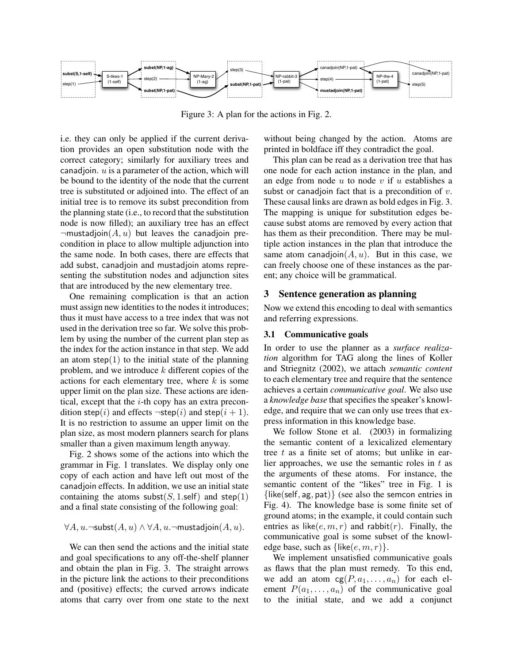

Figure 3: A plan for the actions in Fig. 2.

i.e. they can only be applied if the current derivation provides an open substitution node with the correct category; similarly for auxiliary trees and canadjoin.  $u$  is a parameter of the action, which will be bound to the identity of the node that the current tree is substituted or adjoined into. The effect of an initial tree is to remove its subst precondition from the planning state (i.e., to record that the substitution node is now filled); an auxiliary tree has an effect  $\neg$ mustadjoin $(A, u)$  but leaves the canadjoin precondition in place to allow multiple adjunction into the same node. In both cases, there are effects that add subst, canadjoin and mustadjoin atoms representing the substitution nodes and adjunction sites that are introduced by the new elementary tree.

One remaining complication is that an action must assign new identities to the nodes it introduces; thus it must have access to a tree index that was not used in the derivation tree so far. We solve this problem by using the number of the current plan step as the index for the action instance in that step. We add an atom step $(1)$  to the initial state of the planning problem, and we introduce  $k$  different copies of the actions for each elementary tree, where  $k$  is some upper limit on the plan size. These actions are identical, except that the  $i$ -th copy has an extra precondition step(i) and effects  $\neg$ step(i) and step(i + 1). It is no restriction to assume an upper limit on the plan size, as most modern planners search for plans smaller than a given maximum length anyway.

Fig. 2 shows some of the actions into which the grammar in Fig. 1 translates. We display only one copy of each action and have left out most of the canadjoin effects. In addition, we use an initial state containing the atoms subst $(S, 1$ .self) and step $(1)$ and a final state consisting of the following goal:

#### $\forall A, u. \neg \mathsf{subst}(A, u) \land \forall A, u. \neg \mathsf{mustadjoin}(A, u).$

We can then send the actions and the initial state and goal specifications to any off-the-shelf planner and obtain the plan in Fig. 3. The straight arrows in the picture link the actions to their preconditions and (positive) effects; the curved arrows indicate atoms that carry over from one state to the next without being changed by the action. Atoms are printed in boldface iff they contradict the goal.

This plan can be read as a derivation tree that has one node for each action instance in the plan, and an edge from node  $u$  to node  $v$  if  $u$  establishes a subst or canadjoin fact that is a precondition of  $v$ . These causal links are drawn as bold edges in Fig. 3. The mapping is unique for substitution edges because subst atoms are removed by every action that has them as their precondition. There may be multiple action instances in the plan that introduce the same atom canadjoin $(A, u)$ . But in this case, we can freely choose one of these instances as the parent; any choice will be grammatical.

#### 3 Sentence generation as planning

Now we extend this encoding to deal with semantics and referring expressions.

#### 3.1 Communicative goals

In order to use the planner as a *surface realization* algorithm for TAG along the lines of Koller and Striegnitz (2002), we attach *semantic content* to each elementary tree and require that the sentence achieves a certain *communicative goal*. We also use a *knowledge base* that specifies the speaker's knowledge, and require that we can only use trees that express information in this knowledge base.

We follow Stone et al. (2003) in formalizing the semantic content of a lexicalized elementary tree  $t$  as a finite set of atoms; but unlike in earlier approaches, we use the semantic roles in  $t$  as the arguments of these atoms. For instance, the semantic content of the "likes" tree in Fig. 1 is {like(self, ag, pat)} (see also the semcon entries in Fig. 4). The knowledge base is some finite set of ground atoms; in the example, it could contain such entries as like( $e, m, r$ ) and rabbit( $r$ ). Finally, the communicative goal is some subset of the knowledge base, such as  $\{\text{like}(e, m, r)\}.$ 

We implement unsatisfied communicative goals as flaws that the plan must remedy. To this end, we add an atom  $cg(P, a_1, \ldots, a_n)$  for each element  $P(a_1, \ldots, a_n)$  of the communicative goal to the initial state, and we add a conjunct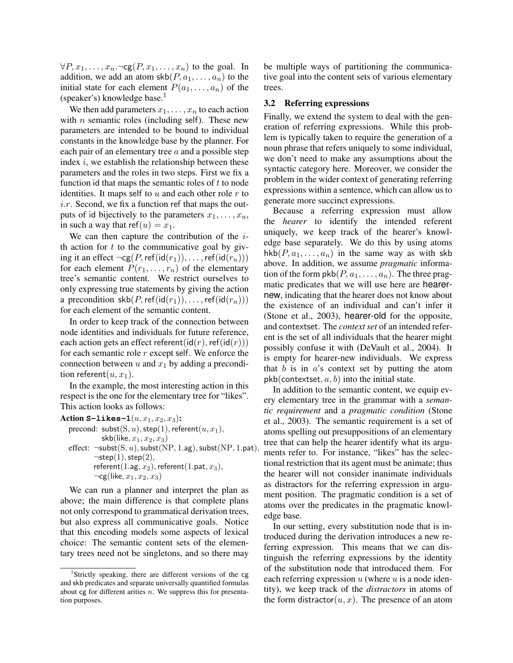$\forall P, x_1, \ldots, x_n. \neg \text{cg}(P, x_1, \ldots, x_n)$  to the goal. In addition, we add an atom  $\text{skb}(P, a_1, \ldots, a_n)$  to the initial state for each element  $P(a_1, \ldots, a_n)$  of the (speaker's) knowledge base.<sup>1</sup>

We then add parameters  $x_1, \ldots, x_n$  to each action with  $n$  semantic roles (including self). These new parameters are intended to be bound to individual constants in the knowledge base by the planner. For each pair of an elementary tree  $a$  and a possible step index  $i$ , we establish the relationship between these parameters and the roles in two steps. First we fix a function id that maps the semantic roles of  $t$  to node identities. It maps self to  $u$  and each other role  $r$  to  $i.r.$  Second, we fix a function ref that maps the outputs of id bijectively to the parameters  $x_1, \ldots, x_n$ , in such a way that ref $(u) = x_1$ .

We can then capture the contribution of the  $i$ th action for  $t$  to the communicative goal by giving it an effect  $\neg cg(P, ref(id(r_1)), \dots, ref(id(r_n)))$ for each element  $P(r_1, \ldots, r_n)$  of the elementary tree's semantic content. We restrict ourselves to only expressing true statements by giving the action a precondition  $\text{skb}(P,\text{ref}(\text{id}(r_1)), \ldots, \text{ref}(\text{id}(r_n)))$ for each element of the semantic content.

In order to keep track of the connection between node identities and individuals for future reference, each action gets an effect referent( $id(r)$ , ref( $id(r)$ )) for each semantic role  $r$  except self. We enforce the connection between  $u$  and  $x_1$  by adding a precondition referent $(u, x_1)$ .

In the example, the most interesting action in this respect is the one for the elementary tree for "likes". This action looks as follows:

Action  $S-1$ ikes $-1(u, x_1, x_2, x_3)$ : precond:  $\text{subst}(S, u)$ ,  $\text{step}(1)$ ,  $\text{referent}(u, x_1)$ ,  $\mathsf{skb}(\mathsf{like}, x_1, x_2, x_3)$ effect:  $\neg$ subst(S, u), subst(NP, 1.ag), subst(NP, 1.pat),  $\neg \mathsf{step}(1), \mathsf{step}(2),$ referent(1.ag,  $x_2$ ), referent(1.pat,  $x_3$ ),  $\neg cg(like, x_1, x_2, x_3)$ 

We can run a planner and interpret the plan as above; the main difference is that complete plans not only correspond to grammatical derivation trees, but also express all communicative goals. Notice that this encoding models some aspects of lexical choice: The semantic content sets of the elementary trees need not be singletons, and so there may be multiple ways of partitioning the communicative goal into the content sets of various elementary trees.

#### 3.2 Referring expressions

Finally, we extend the system to deal with the generation of referring expressions. While this problem is typically taken to require the generation of a noun phrase that refers uniquely to some individual, we don't need to make any assumptions about the syntactic category here. Moreover, we consider the problem in the wider context of generating referring expressions within a sentence, which can allow us to generate more succinct expressions.

Because a referring expression must allow the *hearer* to identify the intended referent uniquely, we keep track of the hearer's knowledge base separately. We do this by using atoms hkb $(P, a_1, \ldots, a_n)$  in the same way as with skb above. In addition, we assume *pragmatic* information of the form  $pkb(P, a_1, \ldots, a_n)$ . The three pragmatic predicates that we will use here are hearernew, indicating that the hearer does not know about the existence of an individual and can't infer it (Stone et al., 2003), hearer-old for the opposite, and contextset. The *context set* of an intended referent is the set of all individuals that the hearer might possibly confuse it with (DeVault et al., 2004). It is empty for hearer-new individuals. We express that  $b$  is in  $a$ 's context set by putting the atom  $pkb$ (contextset,  $a, b$ ) into the initial state.

In addition to the semantic content, we equip every elementary tree in the grammar with a *semantic requirement* and a *pragmatic condition* (Stone et al., 2003). The semantic requirement is a set of atoms spelling out presuppositions of an elementary tree that can help the hearer identify what its arguments refer to. For instance, "likes" has the selectional restriction that its agent must be animate; thus the hearer will not consider inanimate individuals as distractors for the referring expression in argument position. The pragmatic condition is a set of atoms over the predicates in the pragmatic knowledge base.

In our setting, every substitution node that is introduced during the derivation introduces a new referring expression. This means that we can distinguish the referring expressions by the identity of the substitution node that introduced them. For each referring expression  $u$  (where  $u$  is a node identity), we keep track of the *distractors* in atoms of the form distractor $(u, x)$ . The presence of an atom

<sup>&</sup>lt;sup>1</sup>Strictly speaking, there are different versions of the cg and skb predicates and separate universally quantified formulas about cg for different arities  $n$ . We suppress this for presentation purposes.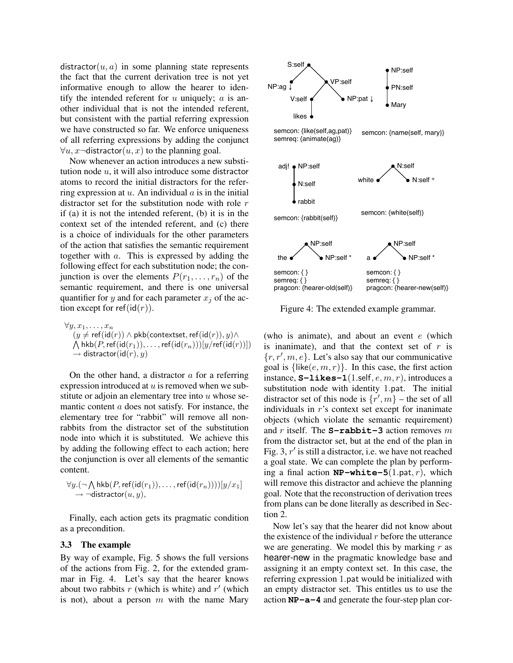distractor $(u, a)$  in some planning state represents the fact that the current derivation tree is not yet informative enough to allow the hearer to identify the intended referent for  $u$  uniquely;  $a$  is another individual that is not the intended referent, but consistent with the partial referring expression we have constructed so far. We enforce uniqueness of all referring expressions by adding the conjunct  $\forall u, x$  -distractor $(u, x)$  to the planning goal.

Now whenever an action introduces a new substitution node  $u$ , it will also introduce some distractor atoms to record the initial distractors for the referring expression at  $u$ . An individual  $a$  is in the initial distractor set for the substitution node with role  $r$ if (a) it is not the intended referent, (b) it is in the context set of the intended referent, and (c) there is a choice of individuals for the other parameters of the action that satisfies the semantic requirement together with a. This is expressed by adding the following effect for each substitution node; the conjunction is over the elements  $P(r_1, \ldots, r_n)$  of the semantic requirement, and there is one universal quantifier for y and for each parameter  $x_i$  of the action except for ref(id(r)).

 $\forall y, x_1, \ldots, x_n$  $\bigwedge \mathsf{hkb}(P, \mathsf{ref}(\mathsf{id}(r_1)), \ldots, \mathsf{ref}(\mathsf{id}(r_n)))[y/\mathsf{ref}(\mathsf{id}(r))])$  $(y \neq \text{ref}(\text{id}(r)) \land \text{pkb}(\text{context},\text{ref}(\text{id}(r)), y) \land$  $\rightarrow$  distractor(id(r), y)

On the other hand, a distractor  $\alpha$  for a referring expression introduced at  $u$  is removed when we substitute or adjoin an elementary tree into  $u$  whose semantic content a does not satisfy. For instance, the elementary tree for "rabbit" will remove all nonrabbits from the distractor set of the substitution node into which it is substituted. We achieve this by adding the following effect to each action; here the conjunction is over all elements of the semantic content.

$$
\forall y.(\neg \bigwedge \mathsf{hkb}(P, \mathsf{ref}(\mathsf{id}(r_1)), \dots, \mathsf{ref}(\mathsf{id}(r_n))))[y/x_1]
$$
  

$$
\rightarrow \neg \mathsf{distractor}(u, y),
$$

Finally, each action gets its pragmatic condition as a precondition.

#### 3.3 The example

By way of example, Fig. 5 shows the full versions of the actions from Fig. 2, for the extended grammar in Fig. 4. Let's say that the hearer knows about two rabbits  $r$  (which is white) and  $r'$  (which is not), about a person  $m$  with the name Mary



Figure 4: The extended example grammar.

(who is animate), and about an event  $e$  (which is inanimate), and that the context set of  $r$  is  $\{r, r', m, e\}$ . Let's also say that our communicative goal is  $\{$ like $(e, m, r)$ . In this case, the first action instance,  $S-1$ **ikes**-1(1.self,  $e, m, r$ ), introduces a substitution node with identity 1.pat. The initial distractor set of this node is  $\{r', m\}$  – the set of all individuals in  $r$ 's context set except for inanimate objects (which violate the semantic requirement) and r itself. The **S-rabbit-3** action removes m from the distractor set, but at the end of the plan in Fig. 3,  $r'$  is still a distractor, i.e. we have not reached a goal state. We can complete the plan by performing a final action  $NP-white-5(1.path,r)$ , which will remove this distractor and achieve the planning goal. Note that the reconstruction of derivation trees from plans can be done literally as described in Section 2.

Now let's say that the hearer did not know about the existence of the individual  $r$  before the utterance we are generating. We model this by marking  $r$  as hearer-new in the pragmatic knowledge base and assigning it an empty context set. In this case, the referring expression 1.pat would be initialized with an empty distractor set. This entitles us to use the action **NP-a-4** and generate the four-step plan cor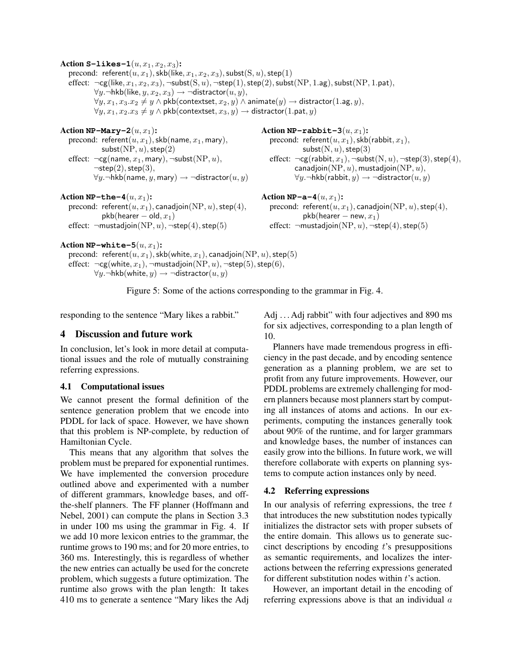Action **S-likes-1** $(u, x_1, x_2, x_3)$ : precond:  $\mathsf{referent}(u, x_1), \mathsf{skb}(\mathsf{like}, x_1, x_2, x_3), \mathsf{subst}(S, u), \mathsf{step}(1)$ effect:  $\neg$ cg(like,  $x_1, x_2, x_3$ ),  $\neg$ subst( $(S, u)$ ,  $\neg$ step(1), step(2), subst( $NP$ , 1.ag), subst( $NP$ , 1.pat),  $\forall y$ .¬hkb(like,  $y, x_2, x_3$ ) → ¬distractor $(u, y)$ ,  $\forall y, x_1, x_3. x_2 \neq y \land \mathsf{pkb}(\mathsf{contextset}, x_2, y) \land \mathsf{animate}(y) \rightarrow \mathsf{distractor}(1.\mathsf{ag}, y),$  $\forall y, x_1, x_2. x_3 \neq y \land \mathsf{pkb}(\mathsf{contextset}, x_3, y) \rightarrow \mathsf{distractor}(1.\mathsf{pat}, y)$ Action  $NP-Mary-2(u, x_1)$ : precond:  $referent(u, x<sub>1</sub>),$ skb(name,  $x<sub>1</sub>$ , mary),  $subst(NP, u), step(2)$ effect:  $\neg cg(name, x_1, \text{mary})$ ,  $\negsubst(NP, u)$ ,  $\neg$ step $(2)$ , step $(3)$ ,  $\forall y$ .¬hkb(name, y, mary) → ¬distractor $(u, y)$ Action  $NP-rabbit-3(u, x_1)$ : precond: referent $(u, x_1)$ , skb(rabbit,  $x_1$ ),  $subst(N, u)$ , step $(3)$ effect:  $\neg cg(\text{rabbit}, x_1), \neg \text{subst}(N, u), \neg \text{step}(3), \text{step}(4),$ canadjoin(NP,  $u$ ), mustadjoin(NP,  $u$ ),  $\forall y. \neg hkb(rabbit, y) \rightarrow \neg distraction(u, y)$ Action  $NP$ -the-4 $(u, x_1)$ : precond: referent $(u, x_1)$ , canadjoin(NP, u), step(4),  $pkb(hearer - old, x<sub>1</sub>)$ effect:  $\neg$ mustadjoin(NP, u),  $\neg$ step(4), step(5) Action  $NP-a-4(u, x_1)$ : precond: referent $(u, x_1)$ , canadjoin $(NP, u)$ , step $(4)$ ,  $pkb(hearer - new, x_1)$ effect:  $\neg$ mustadjoin(NP, u),  $\neg$ step(4), step(5) Action  $NP-white-5(u, x_1)$ :

```
precond: referent(u, x_1), skb(white, x_1), canadjoin(NP, u), step(5)
effect: \neg cg(\text{white}, x_1), \neg \text{mustadjoin}(NP, u), \neg \text{step}(5), \text{step}(6),\forall y. \neg hkb(\text{white}, y) \rightarrow \neg \text{distractor}(u, y)
```
Figure 5: Some of the actions corresponding to the grammar in Fig. 4.

responding to the sentence "Mary likes a rabbit."

## 4 Discussion and future work

In conclusion, let's look in more detail at computational issues and the role of mutually constraining referring expressions.

## 4.1 Computational issues

We cannot present the formal definition of the sentence generation problem that we encode into PDDL for lack of space. However, we have shown that this problem is NP-complete, by reduction of Hamiltonian Cycle.

This means that any algorithm that solves the problem must be prepared for exponential runtimes. We have implemented the conversion procedure outlined above and experimented with a number of different grammars, knowledge bases, and offthe-shelf planners. The FF planner (Hoffmann and Nebel, 2001) can compute the plans in Section 3.3 in under 100 ms using the grammar in Fig. 4. If we add 10 more lexicon entries to the grammar, the runtime grows to 190 ms; and for 20 more entries, to 360 ms. Interestingly, this is regardless of whether the new entries can actually be used for the concrete problem, which suggests a future optimization. The runtime also grows with the plan length: It takes 410 ms to generate a sentence "Mary likes the Adj Adj . . . Adj rabbit" with four adjectives and 890 ms for six adjectives, corresponding to a plan length of 10.

Planners have made tremendous progress in efficiency in the past decade, and by encoding sentence generation as a planning problem, we are set to profit from any future improvements. However, our PDDL problems are extremely challenging for modern planners because most planners start by computing all instances of atoms and actions. In our experiments, computing the instances generally took about 90% of the runtime, and for larger grammars and knowledge bases, the number of instances can easily grow into the billions. In future work, we will therefore collaborate with experts on planning systems to compute action instances only by need.

## 4.2 Referring expressions

In our analysis of referring expressions, the tree  $t$ that introduces the new substitution nodes typically initializes the distractor sets with proper subsets of the entire domain. This allows us to generate succinct descriptions by encoding  $t$ 's presuppositions as semantic requirements, and localizes the interactions between the referring expressions generated for different substitution nodes within  $t$ 's action.

However, an important detail in the encoding of referring expressions above is that an individual a